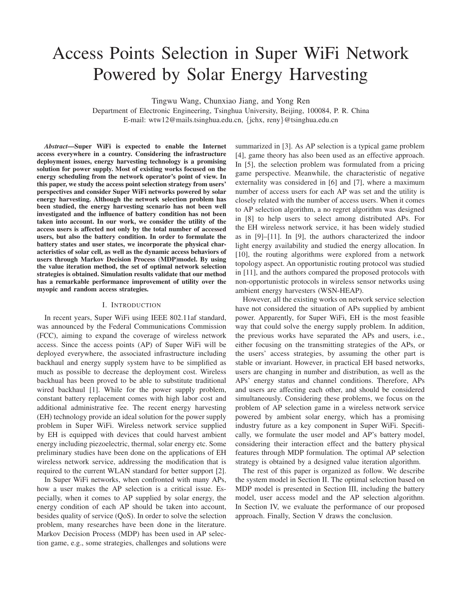# Access Points Selection in Super WiFi Network Powered by Solar Energy Harvesting

Tingwu Wang, Chunxiao Jiang, and Yong Ren

Department of Electronic Engineering, Tsinghua University, Beijing, 100084, P. R. China E-mail: wtw12@mails.tsinghua.edu.cn, {jchx, reny}@tsinghua.edu.cn

*Abstract*—Super WiFi is expected to enable the Internet access everywhere in a country. Considering the infrastructure deployment issues, energy harvesting technology is a promising solution for power supply. Most of existing works focused on the energy scheduling from the network operator's point of view. In this paper, we study the access point selection strategy from users' perspectives and consider Super WiFi networks powered by solar energy harvesting. Although the network selection problem has been studied, the energy harvesting scenario has not been well investigated and the influence of battery condition has not been taken into account. In our work, we consider the utility of the access users is affected not only by the total number of accessed users, but also the battery condition. In order to formulate the battery states and user states, we incorporate the physical characteristics of solar cell, as well as the dynamic access behaviors of users through Markov Decision Process (MDP)model. By using the value iteration method, the set of optimal network selection strategies is obtained. Simulation results validate that our method has a remarkable performance improvement of utility over the myopic and random access strategies.

## I. INTRODUCTION

In recent years, Super WiFi using IEEE 802.11af standard, was announced by the Federal Communications Commission (FCC), aiming to expand the coverage of wireless network access. Since the access points (AP) of Super WiFi will be deployed everywhere, the associated infrastructure including backhaul and energy supply system have to be simplified as much as possible to decrease the deployment cost. Wireless backhual has been proved to be able to substitute traditional wired backhaul [1]. While for the power supply problem, constant battery replacement comes with high labor cost and additional administrative fee. The recent energy harvesting (EH) technology provide an ideal solution for the power supply problem in Super WiFi. Wireless network service supplied by EH is equipped with devices that could harvest ambient energy including piezoelectric, thermal, solar energy etc. Some preliminary studies have been done on the applications of EH wireless network service, addressing the modification that is required to the current WLAN standard for better support [2].

In Super WiFi networks, when confronted with many APs, how a user makes the AP selection is a critical issue. Especially, when it comes to AP supplied by solar energy, the energy condition of each AP should be taken into account, besides quality of service (QoS). In order to solve the selection problem, many researches have been done in the literature. Markov Decision Process (MDP) has been used in AP selection game, e.g., some strategies, challenges and solutions were

summarized in [3]. As AP selection is a typical game problem [4], game theory has also been used as an effective approach. In [5], the selection problem was formulated from a pricing game perspective. Meanwhile, the characteristic of negative externality was considered in [6] and [7], where a maximum number of access users for each AP was set and the utility is closely related with the number of access users. When it comes to AP selection algorithm, a no regret algorithm was designed in [8] to help users to select among distributed APs. For the EH wireless network service, it has been widely studied as in [9]–[11]. In [9], the authors characterized the indoor light energy availability and studied the energy allocation. In [10], the routing algorithms were explored from a network topology aspect. An opportunistic routing protocol was studied in [11], and the authors compared the proposed protocols with non-opportunistic protocols in wireless sensor networks using ambient energy harvesters (WSN-HEAP).

However, all the existing works on network service selection have not considered the situation of APs supplied by ambient power. Apparently, for Super WiFi, EH is the most feasible way that could solve the energy supply problem. In addition, the previous works have separated the APs and users, i.e., either focusing on the transmitting strategies of the APs, or the users' access strategies, by assuming the other part is stable or invariant. However, in practical EH based networks, users are changing in number and distribution, as well as the APs' energy status and channel conditions. Therefore, APs and users are affecting each other, and should be considered simultaneously. Considering these problems, we focus on the problem of AP selection game in a wireless network service powered by ambient solar energy, which has a promising industry future as a key component in Super WiFi. Specifically, we formulate the user model and AP's battery model, considering their interaction effect and the battery physical features through MDP formulation. The optimal AP selection strategy is obtained by a designed value iteration algorithm.

The rest of this paper is organized as follow. We describe the system model in Section II. The optimal selection based on MDP model is presented in Section III, including the battery model, user access model and the AP selection algorithm. In Section IV, we evaluate the performance of our proposed approach. Finally, Section V draws the conclusion.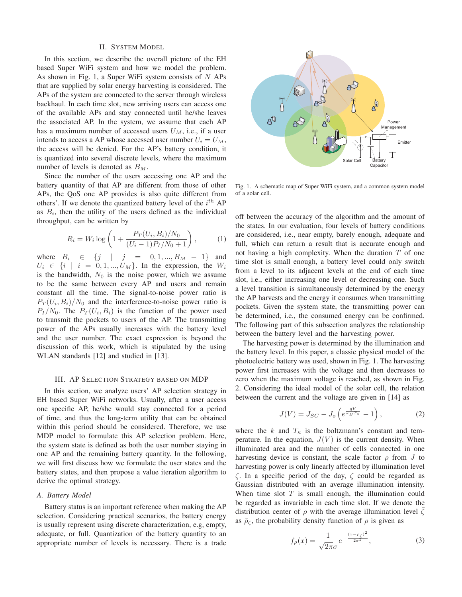#### II. SYSTEM MODEL

In this section, we describe the overall picture of the EH based Super WiFi system and how we model the problem. As shown in Fig. 1, a Super WiFi system consists of  $N$  APs that are supplied by solar energy harvesting is considered. The APs of the system are connected to the server through wireless backhaul. In each time slot, new arriving users can access one of the available APs and stay connected until he/she leaves the associated AP. In the system, we assume that each AP has a maximum number of accessed users  $U_M$ , i.e., if a user intends to access a AP whose accessed user number  $U_i = U_M$ , the access will be denied. For the AP's battery condition, it is quantized into several discrete levels, where the maximum number of levels is denoted as  $B_M$ .

Since the number of the users accessing one AP and the battery quantity of that AP are different from those of other APs, the QoS one AP provides is also quite different from others'. If we denote the quantized battery level of the  $i^{th}$  AP as  $B_i$ , then the utility of the users defined as the individual throughput, can be written by

$$
R_i = W_i \log \left( 1 + \frac{P_T(U_i, B_i)/N_0}{(U_i - 1)P_I/N_0 + 1} \right), \tag{1}
$$

where  $B_i \in \{j \mid j = 0, 1, ..., B_M - 1\}$  and  $U_i \in \{i \mid i = 0, 1, ..., U_M\}$ . In the expression, the  $W_i$ is the bandwidth,  $N_0$  is the noise power, which we assume to be the same between every AP and users and remain constant all the time. The signal-to-noise power ratio is  $P_T(U_i, B_i)/N_0$  and the interference-to-noise power ratio is  $P_I/N_0$ . The  $P_T(U_i, B_i)$  is the function of the power used to transmit the pockets to users of the AP. The transmitting power of the APs usually increases with the battery level and the user number. The exact expression is beyond the discussion of this work, which is stipulated by the using WLAN standards [12] and studied in [13].

## III. AP SELECTION STRATEGY BASED ON MDP

In this section, we analyze users' AP selection strategy in EH based Super WiFi networks. Usually, after a user access one specific AP, he/she would stay connected for a period of time, and thus the long-term utility that can be obtained within this period should be considered. Therefore, we use MDP model to formulate this AP selection problem. Here, the system state is defined as both the user number staying in one AP and the remaining battery quantity. In the following, we will first discuss how we formulate the user states and the battery states, and then propose a value iteration algorithm to derive the optimal strategy.

### *A. Battery Model*

Battery status is an important reference when making the AP selection. Considering practical scenarios, the battery energy is usually represent using discrete characterization, e.g, empty, adequate, or full. Quantization of the battery quantity to an appropriate number of levels is necessary. There is a trade



Fig. 1. A schematic map of Super WiFi system, and a common system model of a solar cell.

off between the accuracy of the algorithm and the amount of the states. In our evaluation, four levels of battery conditions are considered, i.e., near empty, barely enough, adequate and full, which can return a result that is accurate enough and not having a high complexity. When the duration  $T$  of one time slot is small enough, a battery level could only switch from a level to its adjacent levels at the end of each time slot, i.e., either increasing one level or decreasing one. Such a level transition is simultaneously determined by the energy the AP harvests and the energy it consumes when transmitting pockets. Given the system state, the transmitting power can be determined, i.e., the consumed energy can be confirmed. The following part of this subsection analyzes the relationship between the battery level and the harvesting power.

The harvesting power is determined by the illumination and the battery level. In this paper, a classic physical model of the photoelectric battery was used, shown in Fig. 1. The harvesting power first increases with the voltage and then decreases to zero when the maximum voltage is reached, as shown in Fig. 2. Considering the ideal model of the solar cell, the relation between the current and the voltage are given in [14] as

$$
J(V) = J_{SC} - J_o \left( e^{\frac{qV}{k_B T_\kappa}} - 1 \right),\tag{2}
$$

where the k and  $T_{\kappa}$  is the boltzmann's constant and temperature. In the equation,  $J(V)$  is the current density. When illuminated area and the number of cells connected in one harvesting device is constant, the scale factor  $\rho$  from  $J$  to harvesting power is only linearly affected by illumination level  $\zeta$ . In a specific period of the day,  $\zeta$  could be regarded as Gaussian distributed with an average illumination intensity. When time slot  $T$  is small enough, the illumination could be regarded as invariable in each time slot. If we denote the distribution center of  $\rho$  with the average illumination level  $\zeta$ as  $\bar{\rho}_\zeta$ , the probability density function of  $\rho$  is given as

$$
f_{\rho}(x) = \frac{1}{\sqrt{2\pi}\sigma} e^{-\frac{(x-\bar{\rho}_{\zeta})^2}{2\sigma^2}},
$$
\n(3)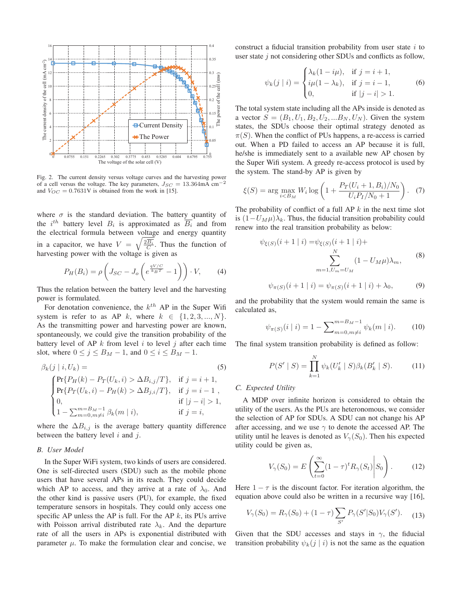

Fig. 2. The current density versus voltage curves and the harvesting power of a cell versus the voltage. The key parameters,  $J_{SC} = 13.364 \text{ mA cm}^{-2}$ and  $V_{OC} = 0.7631V$  is obtained from the work in [15].

where  $\sigma$  is the standard deviation. The battery quantity of the  $i^{th}$  battery level  $B_i$  is approximated as  $\overline{B_i}$  and from the electrical formula between voltage and energy quantity in a capacitor, we have  $V = \sqrt{\frac{2B_i}{C}}$ . Thus the function of harvesting power with the voltage is given as harvesting power with the voltage is given as

$$
P_H(B_i) = \rho \left( J_{SC} - J_o \left( e^{\frac{qV/C}{k_B T}} - 1 \right) \right) \cdot V, \tag{4}
$$

Thus the relation between the battery level and the harvesting power is formulated.

For denotation convenience, the  $k^{th}$  AP in the Super Wifi system is refer to as AP k, where  $k \in \{1, 2, 3, ..., N\}$ . As the transmitting power and harvesting power are known, spontaneously, we could give the transition probability of the battery level of AP  $k$  from level  $i$  to level  $j$  after each time slot, where  $0 \le j \le B_M - 1$ , and  $0 \le i \le B_M - 1$ .<br>  $\beta_i (i | i H_i)$  –

$$
\beta_k(j \mid i, U_k) = \n\begin{cases}\n\Pr\{P_H(k) - P_T(U_k, i) > \Delta B_{i,j}/T\}, & \text{if } j = i + 1, \\
\Pr\{P_T(U_k, i) - P_H(k) > \Delta B_{j,i}/T\}, & \text{if } j = i - 1, \\
0, & \text{if } |j - i| > 1, \\
1 - \sum_{m=0, m \neq i}^{m = B_M - 1} \beta_k(m \mid i), & \text{if } j = i,\n\end{cases}
$$
\n(5)

where the  $\Delta B_{i,j}$  is the average battery quantity difference between the battery level  $i$  and  $j$ .

## *B. User Model*

In the Super WiFi system, two kinds of users are considered. One is self-directed users (SDU) such as the mobile phone users that have several APs in its reach. They could decide which AP to access, and they arrive at a rate of  $\lambda_0$ . And the other kind is passive users (PU), for example, the fixed temperature sensors in hospitals. They could only access one specific AP unless the AP is full. For the AP  $k$ , its PUs arrive with Poisson arrival distributed rate  $\lambda_k$ . And the departure rate of all the users in APs is exponential distributed with parameter  $\mu$ . To make the formulation clear and concise, we

construct a fiducial transition probability from user state  $i$  to user state  $j$  not considering other SDUs and conflicts as follow,

$$
\psi_k(j \mid i) = \begin{cases} \lambda_k (1 - i\mu), & \text{if } j = i + 1, \\ i\mu (1 - \lambda_k), & \text{if } j = i - 1, \\ 0, & \text{if } |j - i| > 1. \end{cases}
$$
 (6)

The total system state including all the APs inside is denoted as a vector  $S = (B_1, U_1, B_2, U_2, \dots, B_N, U_N)$ . Given the system states, the SDUs choose their optimal strategy denoted as  $\pi(S)$ . When the conflict of PUs happens, a re-access is carried out. When a PD failed to access an AP because it is full, he/she is immediately sent to a available new AP chosen by the Super Wifi system. A greedy re-access protocol is used by the system. The stand-by AP is given by

$$
\xi(S) = \arg \max_{i < B_M} W_i \log \left( 1 + \frac{P_T(U_i + 1, B_i)/N_0}{U_i P_I/N_0 + 1} \right). \tag{7}
$$

The probability of conflict of a full AP  $k$  in the next time slot is  $(1-U_M\mu)\lambda_k$ . Thus, the fiducial transition probability could renew into the real transition probability as below:

$$
\psi_{\xi(S)}(i+1|i) = \psi_{\xi(S)}(i+1|i) + \sum_{m=1, U_m = U_M}^{N} (1 - U_M \mu) \lambda_m,
$$
\n(8)

$$
\psi_{\pi(S)}(i+1 \mid i) = \psi_{\pi(S)}(i+1 \mid i) + \lambda_0,\tag{9}
$$

and the probability that the system would remain the same is calculated as,

$$
\psi_{\pi(S)}(i \mid i) = 1 - \sum_{m=0, m \neq i}^{m=B_M - 1} \psi_k(m \mid i). \tag{10}
$$

The final system transition probability is defined as follow:

$$
P(S' | S) = \prod_{k=1}^{N} \psi_k (U'_k | S) \beta_k (B'_k | S).
$$
 (11)

#### *C. Expected Utility*

A MDP over infinite horizon is considered to obtain the utility of the users. As the PUs are heteronomous, we consider the selection of AP for SDUs. A SDU can not change his AP after accessing, and we use  $\gamma$  to denote the accessed AP. The utility until he leaves is denoted as  $V_{\gamma}(S_0)$ . Then his expected utility could be given as,

$$
V_{\gamma}(S_0) = E\left(\sum_{t=0}^{\infty} (1-\tau)^t R_{\gamma}(S_t) \middle| S_0\right). \tag{12}
$$

Here  $1 - \tau$  is the discount factor. For iteration algorithm, the equation above could also be written in a recursive way [16],

$$
V_{\gamma}(S_0) = R_{\gamma}(S_0) + (1 - \tau) \sum_{S'} P_{\gamma}(S'|S_0)V_{\gamma}(S').
$$
 (13)

Given that the SDU accesses and stays in  $\gamma$ , the fiducial transition probability  $\psi_k(j \mid i)$  is not the same as the equation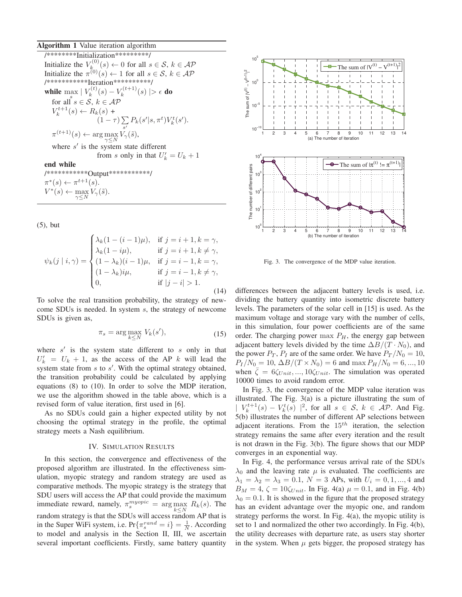## Algorithm 1 Value iteration algorithm

/\*\*\*\*\*\*\*\*Initialization\*\*\*\*\*\*\*\*\*/ Initialize the  $V_k^{(0)}(s) \leftarrow 0$  for all  $s \in \mathcal{S}, k \in \mathcal{AP}$  $k_k^{(0)}(s) \leftarrow 0$  for all  $s \in S$ ,  $k \in AP$ <br>  $k_k^{(0)}(s) \leftarrow 1$  for all  $s \in S$ ,  $k \in AP$ Initialize the  $\pi^{(0)}(s) \leftarrow 1$  for all  $s \in S$ ,  $k \in AP$ <br>/\*\*\*\*\*\*\*\*\*\*\*\*\*\*tteration\*\*\*\*\*\*\*\*\*\*/ /\*\*\*\*\*\*\*\*\*\*\*Iteration\*\*\*\*\*\*\*\*\*\*/<br>while max  $|V_k^{(t)}(s) - V_k^{(t+1)}(s)| > \epsilon$  do while  $\max |V_k^{(t)}(s) - V_k^{(t+1)}(s)| > \epsilon$  do for all  $s \in \mathcal{S}$ ,  $k \in \mathcal{AP}$  $V_k^{t+1}(s) \leftarrow R_k(s) +$ <br>(1 - 3  $(1-\tau)\sum_{s'} P_k(s'|s,\pi^t) V_k^t(s').$  $\pi^{(t+1)}(s) \leftarrow \arg\max_{\gamma \leq N} V_{\gamma}(\tilde{s}),$  $\pi^{(t+1)}(s) \leftarrow \arg\max_{\gamma \leq N} V_{\gamma}(\tilde{s}),$ <br>where s' is the system state different

from s only in that  $U'_k = U_k + 1$ 

end while

```
/***********Output***********/
\pi^*(s) \leftarrow \pi^{t+1}(s).V^*(s) \leftarrow \max_{\gamma \leq N} V_{\gamma}(\tilde{s}).
```
(5), but

$$
\psi_k(j \mid i, \gamma) = \begin{cases}\n\lambda_k (1 - (i - 1)\mu), & \text{if } j = i + 1, k = \gamma, \\
\lambda_k (1 - i\mu), & \text{if } j = i + 1, k \neq \gamma, \\
(1 - \lambda_k)(i - 1)\mu, & \text{if } j = i - 1, k = \gamma, \\
(1 - \lambda_k)i\mu, & \text{if } j = i - 1, k \neq \gamma, \\
0, & \text{if } |j - i| > 1.\n\end{cases}
$$
\n(14)

To solve the real transition probability, the strategy of newcome SDUs is needed. In system s, the strategy of newcome SDUs is given as,

$$
\pi_s = \arg \max_{k \le N} V_k(s'), \tag{15}
$$

where  $s'$  is the system state different to s only in that  $U'_k = U_k + 1$ , as the access of the AP k will lead the system state from s to s'. With the optimal strategy obtained system state from  $s$  to  $s'$ . With the optimal strategy obtained, the transition probability could be calculated by applying equations (8) to (10). In order to solve the MDP iteration, we use the algorithm showed in the table above, which is a revised form of value iteration, first used in [6].

As no SDUs could gain a higher expected utility by not choosing the optimal strategy in the profile, the optimal strategy meets a Nash equilibrium.

## IV. SIMULATION RESULTS

In this section, the convergence and effectiveness of the proposed algorithm are illustrated. In the effectiveness simulation, myopic strategy and random strategy are used as comparative methods. The myopic strategy is the strategy that SDU users will access the AP that could provide the maximum immediate reward, namely,  $\pi_s^{myopic} = \arg \max_{k \leq N} R_k(s)$ . The random strategy is that the SDUs will access random AP that is in the Super WiFi system, i.e.  $Pr{\pi_s^{rand} = i} = \frac{1}{N}$ . According<br>to model and analysis in the Section II III we ascertain to model and analysis in the Section II, III, we ascertain several important coefficients. Firstly, same battery quantity



Fig. 3. The convergence of the MDP value iteration.

differences between the adjacent battery levels is used, i.e. dividing the battery quantity into isometric discrete battery levels. The parameters of the solar cell in [15] is used. As the maximum voltage and storage vary with the number of cells, in this simulation, four power coefficients are of the same order. The charging power max  $P_H$ , the energy gap between adjacent battery levels divided by the time  $\Delta B/(T \cdot N_0)$ , and the power  $P_T$ ,  $P_I$  are of the same order. We have  $P_T/N_0 = 10$ ,  $P_I/N_0 = 10$ ,  $\Delta B/(T \times N_0) = 6$  and  $\max P_H/N_0 = 6, ..., 10$ when  $\bar{\zeta} = 6\zeta_{Unit}, ..., 10\zeta_{Unit}$ . The simulation was operated 10000 times to avoid random error.

In Fig. 3, the convergence of the MDP value iteration was illustrated. The Fig. 3(a) is a picture illustrating the sum of  $|V_k^{t+1}(s) - V_k^t(s)|^2$ , for all  $s \in S$ ,  $k \in AP$ . And Fig.<br>5(b) illustrates the number of different AP selections between 5(b) illustrates the number of different AP selections between adjacent iterations. From the  $15<sup>th</sup>$  iteration, the selection strategy remains the same after every iteration and the result is not drawn in the Fig. 3(b). The figure shows that our MDP converges in an exponential way.

In Fig. 4, the performance versus arrival rate of the SDUs  $\lambda_0$  and the leaving rate  $\mu$  is evaluated. The coefficients are  $\lambda_1 = \lambda_2 = \lambda_3 = 0.1, N = 3$  APs, with  $U_i = 0, 1, ..., 4$  and  $B_M = 4$ ,  $\zeta = 10 \zeta_{Unit}$ . In Fig. 4(a)  $\mu = 0.1$ , and in Fig. 4(b)  $\lambda_0 = 0.1$ . It is showed in the figure that the proposed strategy has an evident advantage over the myopic one, and random strategy performs the worst. In Fig. 4(a), the myopic utility is set to 1 and normalized the other two accordingly. In Fig. 4(b), the utility decreases with departure rate, as users stay shorter in the system. When  $\mu$  gets bigger, the proposed strategy has